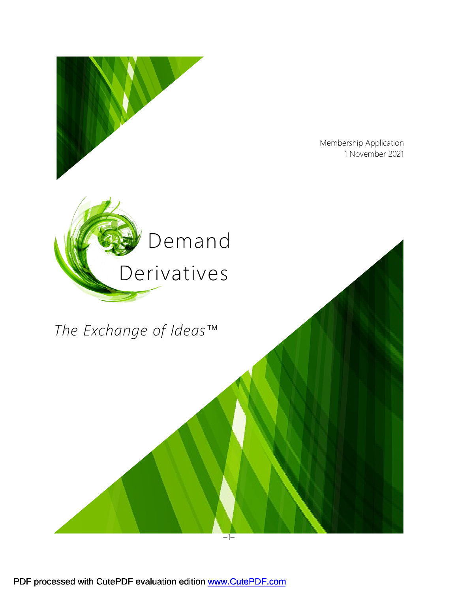

PDF processed with CutePDF evaluation edition www.CutePDF.com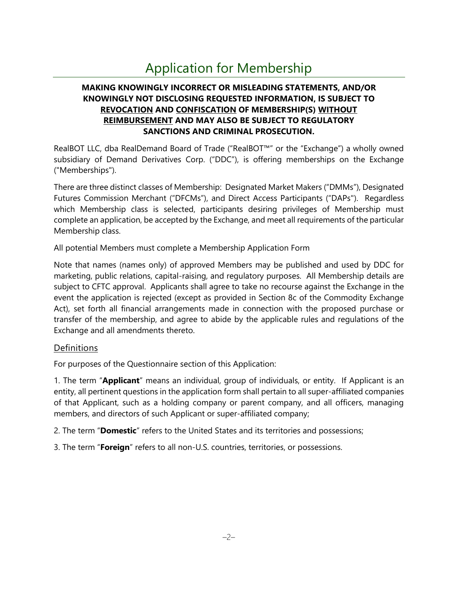# Application for Membership

# **MAKING KNOWINGLY INCORRECT OR MISLEADING STATEMENTS, AND/OR KNOWINGLY NOT DISCLOSING REQUESTED INFORMATION, IS SUBJECT TO REVOCATION AND CONFISCATION OF MEMBERSHIP(S) WITHOUT REIMBURSEMENT AND MAY ALSO BE SUBJECT TO REGULATORY SANCTIONS AND CRIMINAL PROSECUTION.**

RealBOT LLC, dba RealDemand Board of Trade ("RealBOT™" or the "Exchange") a wholly owned subsidiary of Demand Derivatives Corp. ("DDC"), is offering memberships on the Exchange ("Memberships").

There are three distinct classes of Membership: Designated Market Makers ("DMMs"), Designated Futures Commission Merchant ("DFCMs"), and Direct Access Participants ("DAPs"). Regardless which Membership class is selected, participants desiring privileges of Membership must complete an application, be accepted by the Exchange, and meet all requirements of the particular Membership class.

All potential Members must complete a Membership Application Form

Note that names (names only) of approved Members may be published and used by DDC for marketing, public relations, capital-raising, and regulatory purposes. All Membership details are subject to CFTC approval. Applicants shall agree to take no recourse against the Exchange in the event the application is rejected (except as provided in Section 8c of the Commodity Exchange Act), set forth all financial arrangements made in connection with the proposed purchase or transfer of the membership, and agree to abide by the applicable rules and regulations of the Exchange and all amendments thereto.

# **Definitions**

For purposes of the Questionnaire section of this Application:

1. The term "**Applicant**" means an individual, group of individuals, or entity. If Applicant is an entity, all pertinent questions in the application form shall pertain to all super-affiliated companies of that Applicant, such as a holding company or parent company, and all officers, managing members, and directors of such Applicant or super-affiliated company;

2. The term "**Domestic**" refers to the United States and its territories and possessions;

3. The term "**Foreign**" refers to all non-U.S. countries, territories, or possessions.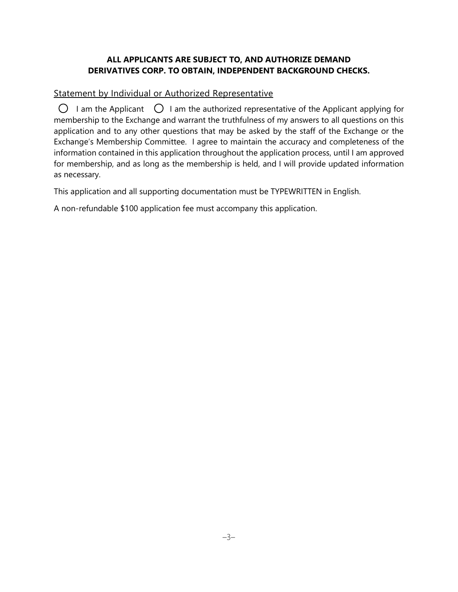### **ALL APPLICANTS ARE SUBJECT TO, AND AUTHORIZE DEMAND DERIVATIVES CORP. TO OBTAIN, INDEPENDENT BACKGROUND CHECKS.**

# Statement by Individual or Authorized Representative

 $\bigcirc$  I am the Applicant  $\bigcirc$  I am the authorized representative of the Applicant applying for membership to the Exchange and warrant the truthfulness of my answers to all questions on this application and to any other questions that may be asked by the staff of the Exchange or the Exchange's Membership Committee. I agree to maintain the accuracy and completeness of the information contained in this application throughout the application process, until I am approved for membership, and as long as the membership is held, and I will provide updated information as necessary.

This application and all supporting documentation must be TYPEWRITTEN in English.

A non-refundable \$100 application fee must accompany this application.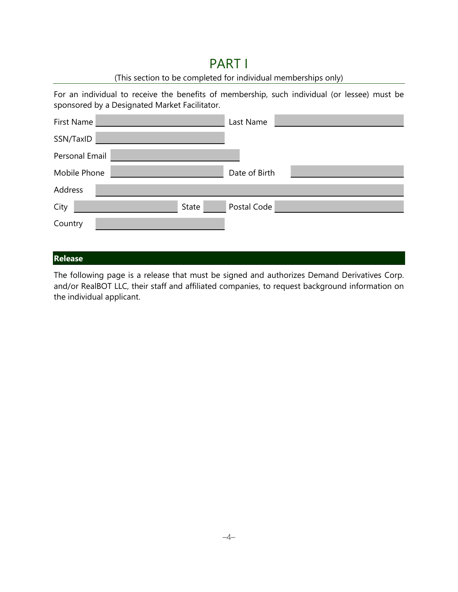# PART I

# (This section to be completed for individual memberships only)

For an individual to receive the benefits of membership, such individual (or lessee) must be sponsored by a Designated Market Facilitator.

| First Name     | Last Name            |
|----------------|----------------------|
| SSN/TaxID      |                      |
| Personal Email |                      |
| Mobile Phone   | Date of Birth        |
| Address        |                      |
| City           | Postal Code<br>State |
| Country        |                      |
|                |                      |

# **Release**

The following page is a release that must be signed and authorizes Demand Derivatives Corp. and/or RealBOT LLC, their staff and affiliated companies, to request background information on the individual applicant.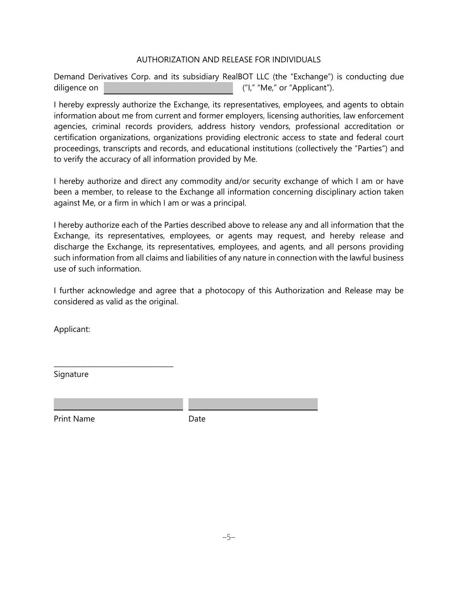#### AUTHORIZATION AND RELEASE FOR INDIVIDUALS

Demand Derivatives Corp. and its subsidiary RealBOT LLC (the "Exchange") is conducting due diligence on  $($ "I," "Me," or "Applicant").

I hereby expressly authorize the Exchange, its representatives, employees, and agents to obtain information about me from current and former employers, licensing authorities, law enforcement agencies, criminal records providers, address history vendors, professional accreditation or certification organizations, organizations providing electronic access to state and federal court proceedings, transcripts and records, and educational institutions (collectively the "Parties") and to verify the accuracy of all information provided by Me.

I hereby authorize and direct any commodity and/or security exchange of which I am or have been a member, to release to the Exchange all information concerning disciplinary action taken against Me, or a firm in which I am or was a principal.

I hereby authorize each of the Parties described above to release any and all information that the Exchange, its representatives, employees, or agents may request, and hereby release and discharge the Exchange, its representatives, employees, and agents, and all persons providing such information from all claims and liabilities of any nature in connection with the lawful business use of such information.

I further acknowledge and agree that a photocopy of this Authorization and Release may be considered as valid as the original.

Applicant:

Signature

\_\_\_\_\_\_\_\_\_\_\_\_\_\_\_\_\_\_\_\_\_\_\_\_\_\_\_\_\_\_\_\_\_\_\_

Print Name Date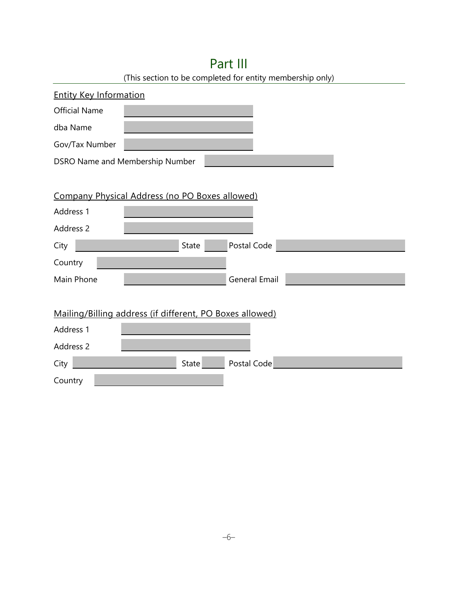| (This section to be completed for entity membership only) |  |              |                      |  |  |  |
|-----------------------------------------------------------|--|--------------|----------------------|--|--|--|
| <b>Entity Key Information</b>                             |  |              |                      |  |  |  |
| <b>Official Name</b>                                      |  |              |                      |  |  |  |
| dba Name                                                  |  |              |                      |  |  |  |
| Gov/Tax Number                                            |  |              |                      |  |  |  |
| DSRO Name and Membership Number                           |  |              |                      |  |  |  |
|                                                           |  |              |                      |  |  |  |
| Company Physical Address (no PO Boxes allowed)            |  |              |                      |  |  |  |
| Address 1                                                 |  |              |                      |  |  |  |
| Address 2                                                 |  |              |                      |  |  |  |
| City                                                      |  | <b>State</b> | Postal Code          |  |  |  |
| Country                                                   |  |              |                      |  |  |  |
| Main Phone                                                |  |              | <b>General Email</b> |  |  |  |
|                                                           |  |              |                      |  |  |  |
| Mailing/Billing address (if different, PO Boxes allowed)  |  |              |                      |  |  |  |
| Address 1                                                 |  |              |                      |  |  |  |
| Address 2                                                 |  |              |                      |  |  |  |
| City                                                      |  | State        | Postal Code          |  |  |  |
| Country                                                   |  |              |                      |  |  |  |

# Part III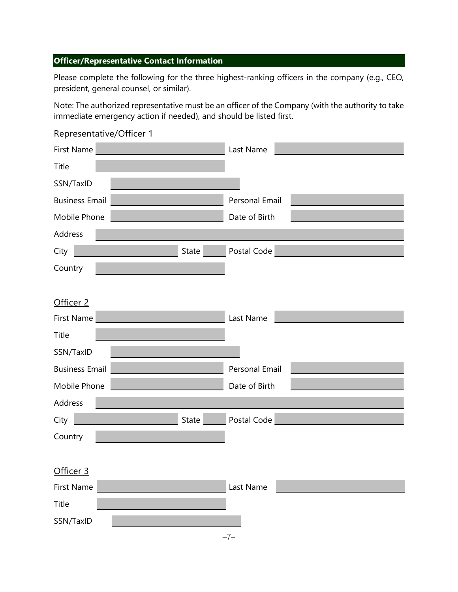# **Officer/Representative Contact Information**

Please complete the following for the three highest-ranking officers in the company (e.g., CEO, president, general counsel, or similar).

Note: The authorized representative must be an officer of the Company (with the authority to take immediate emergency action if needed), and should be listed first.

| Representative/Officer 1 |                |
|--------------------------|----------------|
| First Name               | Last Name      |
| Title                    |                |
| SSN/TaxID                |                |
| <b>Business Email</b>    | Personal Email |
| Mobile Phone             | Date of Birth  |
| Address                  |                |
| State<br>City            | Postal Code    |
| Country                  |                |
|                          |                |
| Officer 2                |                |
| <b>First Name</b>        | Last Name      |
| Title                    |                |
| SSN/TaxID                |                |
| <b>Business Email</b>    | Personal Email |
| Mobile Phone             | Date of Birth  |
| Address                  |                |
| State<br>City            | Postal Code    |
| Country                  |                |
|                          |                |
| Officer 3                |                |
| <b>First Name</b>        | Last Name      |
| Title                    |                |
| SSN/TaxID                |                |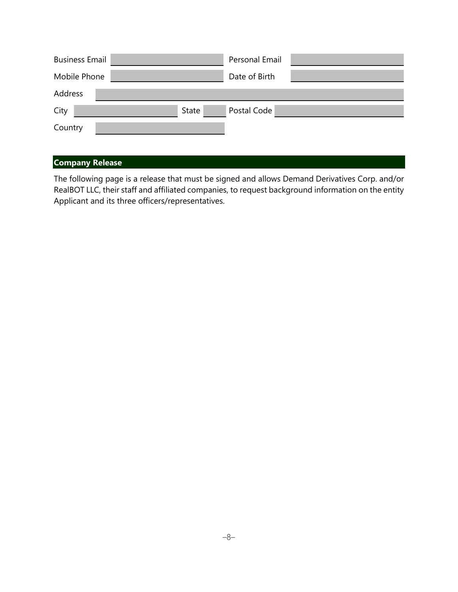| <b>Business Email</b> |       | Personal Email |  |
|-----------------------|-------|----------------|--|
| Mobile Phone          |       | Date of Birth  |  |
| Address               |       |                |  |
| City                  | State | Postal Code    |  |
| Country               |       |                |  |

# **Company Release**

The following page is a release that must be signed and allows Demand Derivatives Corp. and/or RealBOT LLC, their staff and affiliated companies, to request background information on the entity Applicant and its three officers/representatives.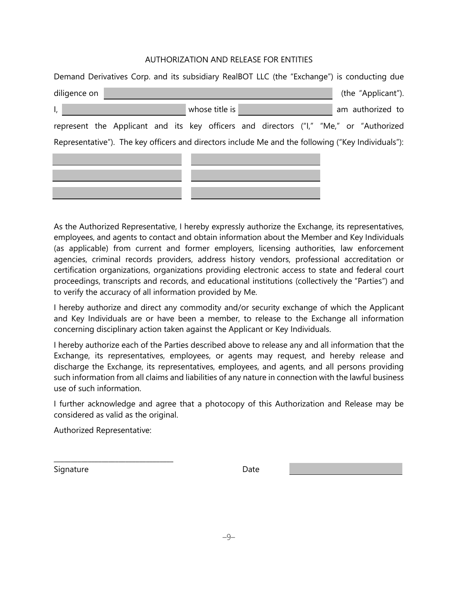#### AUTHORIZATION AND RELEASE FOR ENTITIES

| Demand Derivatives Corp. and its subsidiary RealBOT LLC (the "Exchange") is conducting due         |                                                                                       |  |  |                |  |  |  |                    |
|----------------------------------------------------------------------------------------------------|---------------------------------------------------------------------------------------|--|--|----------------|--|--|--|--------------------|
| diligence on                                                                                       |                                                                                       |  |  |                |  |  |  | (the "Applicant"). |
| $\mathsf{I}_{\mathsf{r}}$                                                                          |                                                                                       |  |  | whose title is |  |  |  | am authorized to   |
|                                                                                                    | represent the Applicant and its key officers and directors ("I," "Me," or "Authorized |  |  |                |  |  |  |                    |
| Representative"). The key officers and directors include Me and the following ("Key Individuals"): |                                                                                       |  |  |                |  |  |  |                    |
|                                                                                                    |                                                                                       |  |  |                |  |  |  |                    |

As the Authorized Representative, I hereby expressly authorize the Exchange, its representatives, employees, and agents to contact and obtain information about the Member and Key Individuals (as applicable) from current and former employers, licensing authorities, law enforcement agencies, criminal records providers, address history vendors, professional accreditation or certification organizations, organizations providing electronic access to state and federal court proceedings, transcripts and records, and educational institutions (collectively the "Parties") and to verify the accuracy of all information provided by Me.

I hereby authorize and direct any commodity and/or security exchange of which the Applicant and Key Individuals are or have been a member, to release to the Exchange all information concerning disciplinary action taken against the Applicant or Key Individuals.

I hereby authorize each of the Parties described above to release any and all information that the Exchange, its representatives, employees, or agents may request, and hereby release and discharge the Exchange, its representatives, employees, and agents, and all persons providing such information from all claims and liabilities of any nature in connection with the lawful business use of such information.

I further acknowledge and agree that a photocopy of this Authorization and Release may be considered as valid as the original.

Authorized Representative:

\_\_\_\_\_\_\_\_\_\_\_\_\_\_\_\_\_\_\_\_\_\_\_\_\_\_\_\_\_\_\_\_\_\_\_

Signature Date Date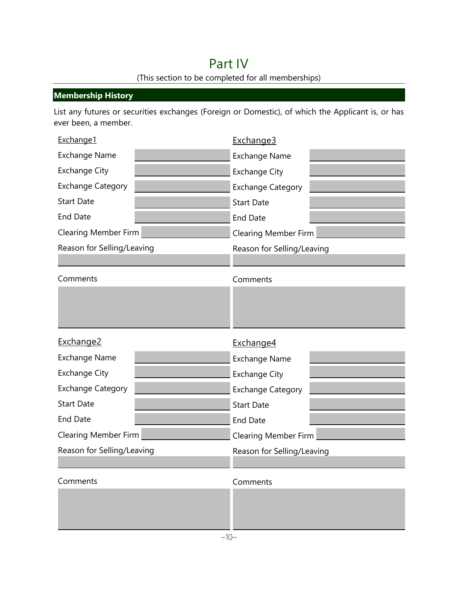# Part IV (This section to be completed for all memberships)

# **Membership History**

List any futures or securities exchanges (Foreign or Domestic), of which the Applicant is, or has ever been, a member.

| Exchange1                   |  | Exchange3                   |  |  |
|-----------------------------|--|-----------------------------|--|--|
| <b>Exchange Name</b>        |  | <b>Exchange Name</b>        |  |  |
| <b>Exchange City</b>        |  | <b>Exchange City</b>        |  |  |
| <b>Exchange Category</b>    |  | <b>Exchange Category</b>    |  |  |
| <b>Start Date</b>           |  | <b>Start Date</b>           |  |  |
| <b>End Date</b>             |  | <b>End Date</b>             |  |  |
| <b>Clearing Member Firm</b> |  | <b>Clearing Member Firm</b> |  |  |
| Reason for Selling/Leaving  |  | Reason for Selling/Leaving  |  |  |
|                             |  |                             |  |  |
| Comments                    |  | Comments                    |  |  |
|                             |  |                             |  |  |
|                             |  |                             |  |  |
|                             |  |                             |  |  |
| Exchange2                   |  | Exchange4                   |  |  |
| <b>Exchange Name</b>        |  | <b>Exchange Name</b>        |  |  |
| <b>Exchange City</b>        |  | <b>Exchange City</b>        |  |  |
| <b>Exchange Category</b>    |  | <b>Exchange Category</b>    |  |  |
| <b>Start Date</b>           |  | <b>Start Date</b>           |  |  |
| <b>End Date</b>             |  | <b>End Date</b>             |  |  |
| <b>Clearing Member Firm</b> |  | <b>Clearing Member Firm</b> |  |  |
| Reason for Selling/Leaving  |  | Reason for Selling/Leaving  |  |  |
|                             |  |                             |  |  |
| Comments                    |  | Comments                    |  |  |
|                             |  |                             |  |  |
|                             |  |                             |  |  |
|                             |  |                             |  |  |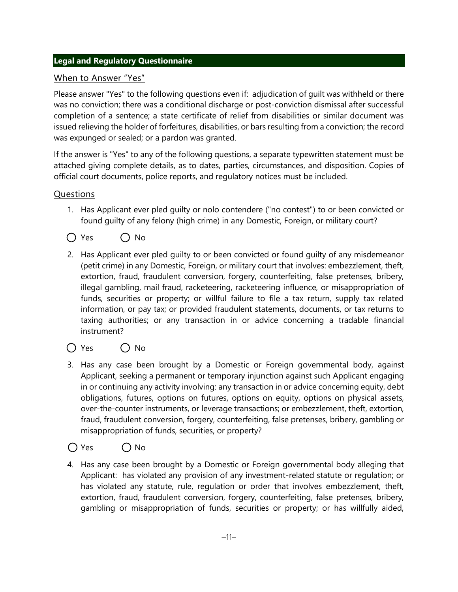# **Legal and Regulatory Questionnaire**

# When to Answer "Yes"

Please answer "Yes" to the following questions even if: adjudication of guilt was withheld or there was no conviction; there was a conditional discharge or post-conviction dismissal after successful completion of a sentence; a state certificate of relief from disabilities or similar document was issued relieving the holder of forfeitures, disabilities, or bars resulting from a conviction; the record was expunged or sealed; or a pardon was granted.

If the answer is "Yes" to any of the following questions, a separate typewritten statement must be attached giving complete details, as to dates, parties, circumstances, and disposition. Copies of official court documents, police reports, and regulatory notices must be included.

# **Questions**

- 1. Has Applicant ever pled guilty or nolo contendere ("no contest") to or been convicted or found guilty of any felony (high crime) in any Domestic, Foreign, or military court?
- $\bigcap$  Yes  $\bigcap$  No
- 2. Has Applicant ever pled guilty to or been convicted or found guilty of any misdemeanor (petit crime) in any Domestic, Foreign, or military court that involves: embezzlement, theft, extortion, fraud, fraudulent conversion, forgery, counterfeiting, false pretenses, bribery, illegal gambling, mail fraud, racketeering, racketeering influence, or misappropriation of funds, securities or property; or willful failure to file a tax return, supply tax related information, or pay tax; or provided fraudulent statements, documents, or tax returns to taxing authorities; or any transaction in or advice concerning a tradable financial instrument?
- $\bigcap$  Yes  $\bigcap$  No
- 3. Has any case been brought by a Domestic or Foreign governmental body, against Applicant, seeking a permanent or temporary injunction against such Applicant engaging in or continuing any activity involving: any transaction in or advice concerning equity, debt obligations, futures, options on futures, options on equity, options on physical assets, over-the-counter instruments, or leverage transactions; or embezzlement, theft, extortion, fraud, fraudulent conversion, forgery, counterfeiting, false pretenses, bribery, gambling or misappropriation of funds, securities, or property?

# $\bigcap$  Yes  $\bigcap$  No

4. Has any case been brought by a Domestic or Foreign governmental body alleging that Applicant: has violated any provision of any investment-related statute or regulation; or has violated any statute, rule, regulation or order that involves embezzlement, theft, extortion, fraud, fraudulent conversion, forgery, counterfeiting, false pretenses, bribery, gambling or misappropriation of funds, securities or property; or has willfully aided,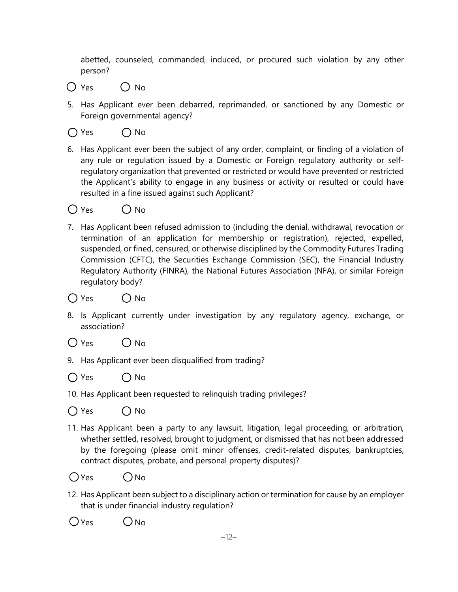abetted, counseled, commanded, induced, or procured such violation by any other person?

- $\bigcap$  Yes  $\bigcap$  No
- 5. Has Applicant ever been debarred, reprimanded, or sanctioned by any Domestic or Foreign governmental agency?
- $\bigcap$  Yes  $\bigcap$  No
- 6. Has Applicant ever been the subject of any order, complaint, or finding of a violation of any rule or regulation issued by a Domestic or Foreign regulatory authority or selfregulatory organization that prevented or restricted or would have prevented or restricted the Applicant's ability to engage in any business or activity or resulted or could have resulted in a fine issued against such Applicant?

 $\bigcap$  Yes  $\bigcap$  No

- 7. Has Applicant been refused admission to (including the denial, withdrawal, revocation or termination of an application for membership or registration), rejected, expelled, suspended, or fined, censured, or otherwise disciplined by the Commodity Futures Trading Commission (CFTC), the Securities Exchange Commission (SEC), the Financial Industry Regulatory Authority (FINRA), the National Futures Association (NFA), or similar Foreign regulatory body?
- $\bigcap$  Yes  $\bigcap$  No
- 8. Is Applicant currently under investigation by any regulatory agency, exchange, or association?
- $\bigcap$  Yes  $\bigcap$  No
- 9. Has Applicant ever been disqualified from trading?
- $\bigcap$  Yes  $\bigcap$  No
- 10. Has Applicant been requested to relinquish trading privileges?
- $\bigcap$  Yes  $\bigcap$  No
- 11. Has Applicant been a party to any lawsuit, litigation, legal proceeding, or arbitration, whether settled, resolved, brought to judgment, or dismissed that has not been addressed by the foregoing (please omit minor offenses, credit-related disputes, bankruptcies, contract disputes, probate, and personal property disputes)?
- $O$ Yes  $O$ No
- 12. Has Applicant been subject to a disciplinary action or termination for cause by an employer that is under financial industry regulation?
- $O$  Yes  $O$  No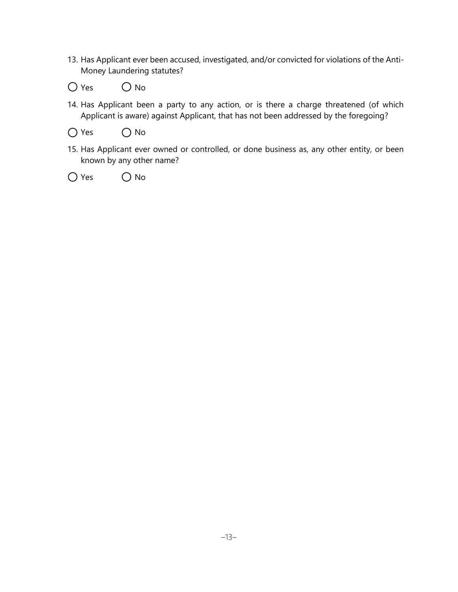- 13. Has Applicant ever been accused, investigated, and/or convicted for violations of the Anti-Money Laundering statutes?
- $O$  Yes  $O$  No
- 14. Has Applicant been a party to any action, or is there a charge threatened (of which Applicant is aware) against Applicant, that has not been addressed by the foregoing?
- $O$  Yes  $O$  No
- 15. Has Applicant ever owned or controlled, or done business as, any other entity, or been known by any other name?
- $\bigcap$  Yes  $\bigcap$  No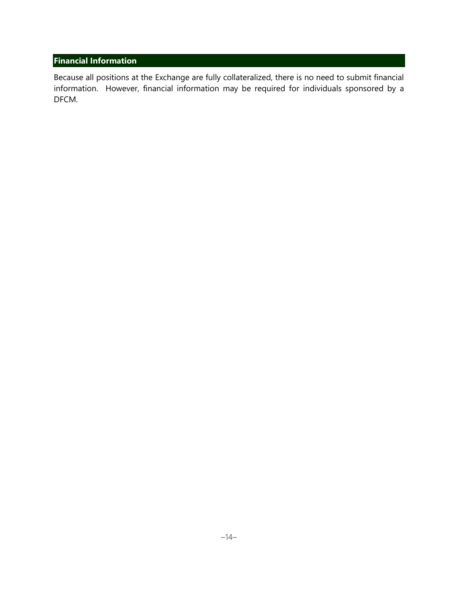# **Financial Information**

Because all positions at the Exchange are fully collateralized, there is no need to submit financial information. However, financial information may be required for individuals sponsored by a DFCM.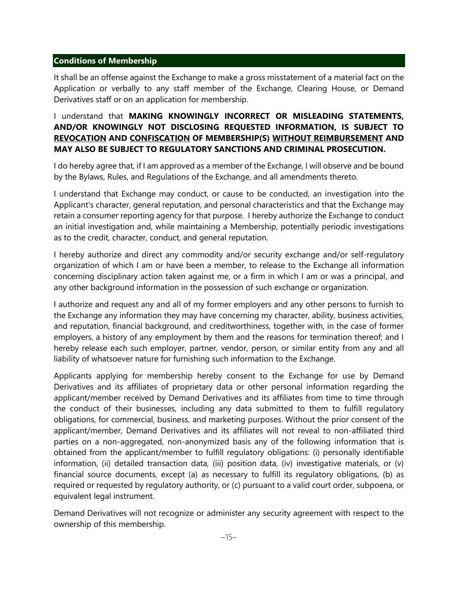#### **Conditions of Membership**

It shall be an offense against the Exchange to make a gross misstatement of a material fact on the Application or verbally to any staff member of the Exchange, Clearing House, or Demand Derivatives staff or on an application for membership.

# I understand that **MAKING KNOWINGLY INCORRECT OR MISLEADING STATEMENTS, AND/OR KNOWINGLY NOT DISCLOSING REQUESTED INFORMATION, IS SUBJECT TO REVOCATION AND CONFISCATION OF MEMBERSHIP(S) WITHOUT REIMBURSEMENT AND MAY ALSO BE SUBJECT TO REGULATORY SANCTIONS AND CRIMINAL PROSECUTION.**

I do hereby agree that, if I am approved as a member of the Exchange, I will observe and be bound by the Bylaws, Rules, and Regulations of the Exchange, and all amendments thereto.

I understand that Exchange may conduct, or cause to be conducted, an investigation into the Applicant's character, general reputation, and personal characteristics and that the Exchange may retain a consumer reporting agency for that purpose. I hereby authorize the Exchange to conduct an initial investigation and, while maintaining a Membership, potentially periodic investigations as to the credit, character, conduct, and general reputation.

I hereby authorize and direct any commodity and/or security exchange and/or self-regulatory organization of which I am or have been a member, to release to the Exchange all information concerning disciplinary action taken against me, or a firm in which I am or was a principal, and any other background information in the possession of such exchange or organization.

I authorize and request any and all of my former employers and any other persons to furnish to the Exchange any information they may have concerning my character, ability, business activities, and reputation, financial background, and creditworthiness, together with, in the case of former employers, a history of any employment by them and the reasons for termination thereof; and I hereby release each such employer, partner, vendor, person, or similar entity from any and all liability of whatsoever nature for furnishing such information to the Exchange.

Applicants applying for membership hereby consent to the Exchange for use by Demand Derivatives and its affiliates of proprietary data or other personal information regarding the applicant/member received by Demand Derivatives and its affiliates from time to time through the conduct of their businesses, including any data submitted to them to fulfill regulatory obligations, for commercial, business, and marketing purposes. Without the prior consent of the applicant/member, Demand Derivatives and its affiliates will not reveal to non-affiliated third parties on a non-aggregated, non-anonymized basis any of the following information that is obtained from the applicant/member to fulfill regulatory obligations: (i) personally identifiable information, (ii) detailed transaction data, (iii) position data, (iv) investigative materials, or (v) financial source documents, except (a) as necessary to fulfill its regulatory obligations, (b) as required or requested by regulatory authority, or (c) pursuant to a valid court order, subpoena, or equivalent legal instrument.

Demand Derivatives will not recognize or administer any security agreement with respect to the ownership of this membership.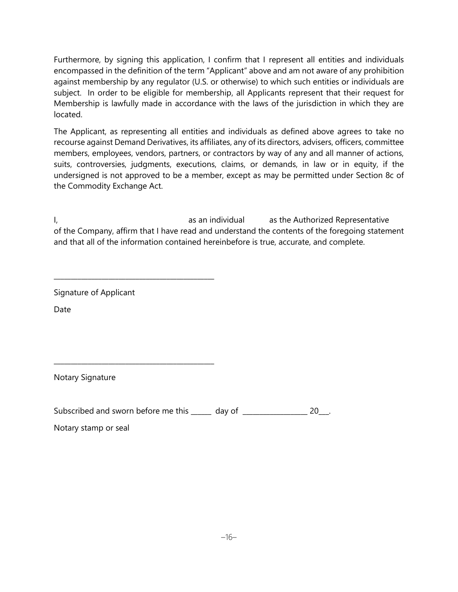Furthermore, by signing this application, I confirm that I represent all entities and individuals encompassed in the definition of the term "Applicant" above and am not aware of any prohibition against membership by any regulator (U.S. or otherwise) to which such entities or individuals are subject. In order to be eligible for membership, all Applicants represent that their request for Membership is lawfully made in accordance with the laws of the jurisdiction in which they are located.

The Applicant, as representing all entities and individuals as defined above agrees to take no recourse against Demand Derivatives, its affiliates, any of its directors, advisers, officers, committee members, employees, vendors, partners, or contractors by way of any and all manner of actions, suits, controversies, judgments, executions, claims, or demands, in law or in equity, if the undersigned is not approved to be a member, except as may be permitted under Section 8c of the Commodity Exchange Act.

I, as an individual as the Authorized Representative of the Company, affirm that I have read and understand the contents of the foregoing statement and that all of the information contained hereinbefore is true, accurate, and complete.

Signature of Applicant

\_\_\_\_\_\_\_\_\_\_\_\_\_\_\_\_\_\_\_\_\_\_\_\_\_\_\_\_\_\_\_\_\_\_\_\_\_\_\_\_\_\_\_\_\_\_\_

\_\_\_\_\_\_\_\_\_\_\_\_\_\_\_\_\_\_\_\_\_\_\_\_\_\_\_\_\_\_\_\_\_\_\_\_\_\_\_\_\_\_\_\_\_\_\_

Date

Notary Signature

Subscribed and sworn before me this \_\_\_\_\_ day of \_\_\_\_\_\_\_\_\_\_\_\_\_\_\_\_\_\_\_\_\_ 20\_\_.

Notary stamp or seal